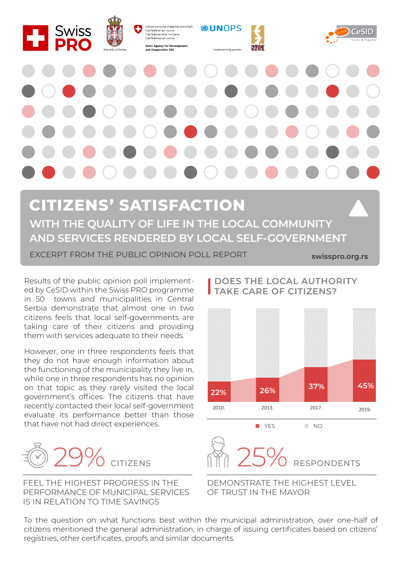

Confederaziun svizra **Swiss Agency for Development** 

Schweizerische Eidgenossenschaft<br>Confédération suisse<br>Confederazione Svizzera **®UNOPS** 





## **CITIZENS' SATISFACTION WITH THE QUALITY OF LIFE IN THE LOCAL COMMUNITY AND SERVICES RENDERED BY LOCAL SELF-GOVERNMENT**

EXCERPT FROM THE PUBLIC OPINION POLL REPORT **swisspro.org.rs**

Results of the public opinion poll implemented by CeSID within the Swiss PRO programme in 50 towns and municipalities in Central Serbia demonstrate that almost one in two citizens feels that local self-governments are taking care of their citizens and providing them with services adequate to their needs.

However, one in three respondents feels that they do not have enough information about the functioning of the municipality they live in, while one in three respondents has no opinion on that topic as they rarely visited the local government's offices. The citizens that have recently contacted their local self-government evaluate its performance better than those that have not had direct experiences.



FEEL THE HIGHEST PROGRESS IN THE PERFORMANCE OF MUNICIPAL SERVICES IS IN RELATION TO TIME SAVINGS

## **DOES THE LOCAL AUTHORITY TAKE CARE OF CITIZENS?**



## 29% CITIZENS MM 25% RESPONDENTS

DEMONSTRATE THE HIGHEST LEVEL OF TRUST IN THE MAYOR

To the question on what functions best within the municipal administration, over one-half of citizens mentioned the general administration, in charge of issuing certificates based on citizens' registries, other certificates, proofs and similar documents.